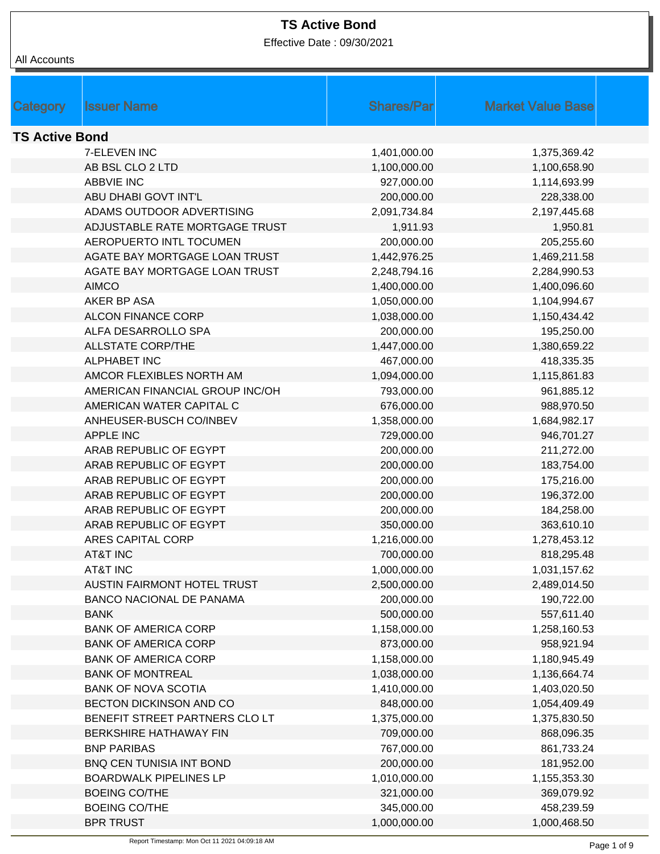Effective Date : 09/30/2021

| Category              | <b>Issuer Name</b>              | <b>Shares/Par</b> | <b>Market Value Base</b> |  |
|-----------------------|---------------------------------|-------------------|--------------------------|--|
| <b>TS Active Bond</b> |                                 |                   |                          |  |
|                       | 7-ELEVEN INC                    | 1,401,000.00      | 1,375,369.42             |  |
|                       | AB BSL CLO 2 LTD                | 1,100,000.00      | 1,100,658.90             |  |
|                       | <b>ABBVIE INC</b>               | 927,000.00        | 1,114,693.99             |  |
|                       | ABU DHABI GOVT INT'L            | 200,000.00        | 228,338.00               |  |
|                       | ADAMS OUTDOOR ADVERTISING       | 2,091,734.84      | 2,197,445.68             |  |
|                       | ADJUSTABLE RATE MORTGAGE TRUST  | 1,911.93          | 1,950.81                 |  |
|                       | <b>AEROPUERTO INTL TOCUMEN</b>  | 200,000.00        | 205,255.60               |  |
|                       | AGATE BAY MORTGAGE LOAN TRUST   | 1,442,976.25      | 1,469,211.58             |  |
|                       | AGATE BAY MORTGAGE LOAN TRUST   | 2,248,794.16      | 2,284,990.53             |  |
|                       | <b>AIMCO</b>                    | 1,400,000.00      | 1,400,096.60             |  |
|                       | AKER BP ASA                     | 1,050,000.00      | 1,104,994.67             |  |
|                       | <b>ALCON FINANCE CORP</b>       | 1,038,000.00      | 1,150,434.42             |  |
|                       | ALFA DESARROLLO SPA             | 200,000.00        | 195,250.00               |  |
|                       | <b>ALLSTATE CORP/THE</b>        | 1,447,000.00      | 1,380,659.22             |  |
|                       | <b>ALPHABET INC</b>             | 467,000.00        | 418,335.35               |  |
|                       | AMCOR FLEXIBLES NORTH AM        | 1,094,000.00      | 1,115,861.83             |  |
|                       | AMERICAN FINANCIAL GROUP INC/OH | 793,000.00        | 961,885.12               |  |
|                       | AMERICAN WATER CAPITAL C        | 676,000.00        | 988,970.50               |  |
|                       | ANHEUSER-BUSCH CO/INBEV         | 1,358,000.00      | 1,684,982.17             |  |
|                       | <b>APPLE INC</b>                | 729,000.00        | 946,701.27               |  |
|                       | ARAB REPUBLIC OF EGYPT          | 200,000.00        | 211,272.00               |  |
|                       | ARAB REPUBLIC OF EGYPT          | 200,000.00        | 183,754.00               |  |
|                       | ARAB REPUBLIC OF EGYPT          | 200,000.00        | 175,216.00               |  |
|                       | ARAB REPUBLIC OF EGYPT          | 200,000.00        | 196,372.00               |  |
|                       | ARAB REPUBLIC OF EGYPT          | 200,000.00        | 184,258.00               |  |
|                       | ARAB REPUBLIC OF EGYPT          | 350,000.00        | 363,610.10               |  |
|                       | <b>ARES CAPITAL CORP</b>        | 1,216,000.00      | 1,278,453.12             |  |
|                       | <b>AT&amp;T INC</b>             | 700,000.00        | 818,295.48               |  |
|                       | <b>AT&amp;T INC</b>             | 1,000,000.00      | 1,031,157.62             |  |
|                       | AUSTIN FAIRMONT HOTEL TRUST     | 2,500,000.00      | 2,489,014.50             |  |
|                       | <b>BANCO NACIONAL DE PANAMA</b> | 200,000.00        | 190,722.00               |  |
|                       | <b>BANK</b>                     | 500,000.00        | 557,611.40               |  |
|                       | <b>BANK OF AMERICA CORP</b>     | 1,158,000.00      | 1,258,160.53             |  |
|                       | <b>BANK OF AMERICA CORP</b>     | 873,000.00        | 958,921.94               |  |
|                       | <b>BANK OF AMERICA CORP</b>     | 1,158,000.00      | 1,180,945.49             |  |
|                       | <b>BANK OF MONTREAL</b>         | 1,038,000.00      | 1,136,664.74             |  |
|                       | <b>BANK OF NOVA SCOTIA</b>      | 1,410,000.00      | 1,403,020.50             |  |
|                       | BECTON DICKINSON AND CO         | 848,000.00        | 1,054,409.49             |  |
|                       | BENEFIT STREET PARTNERS CLO LT  | 1,375,000.00      | 1,375,830.50             |  |
|                       | BERKSHIRE HATHAWAY FIN          | 709,000.00        | 868,096.35               |  |
|                       | <b>BNP PARIBAS</b>              | 767,000.00        | 861,733.24               |  |
|                       | BNQ CEN TUNISIA INT BOND        | 200,000.00        | 181,952.00               |  |
|                       | <b>BOARDWALK PIPELINES LP</b>   | 1,010,000.00      | 1,155,353.30             |  |
|                       | <b>BOEING CO/THE</b>            | 321,000.00        | 369,079.92               |  |
|                       | <b>BOEING CO/THE</b>            | 345,000.00        | 458,239.59               |  |
|                       | <b>BPR TRUST</b>                | 1,000,000.00      | 1,000,468.50             |  |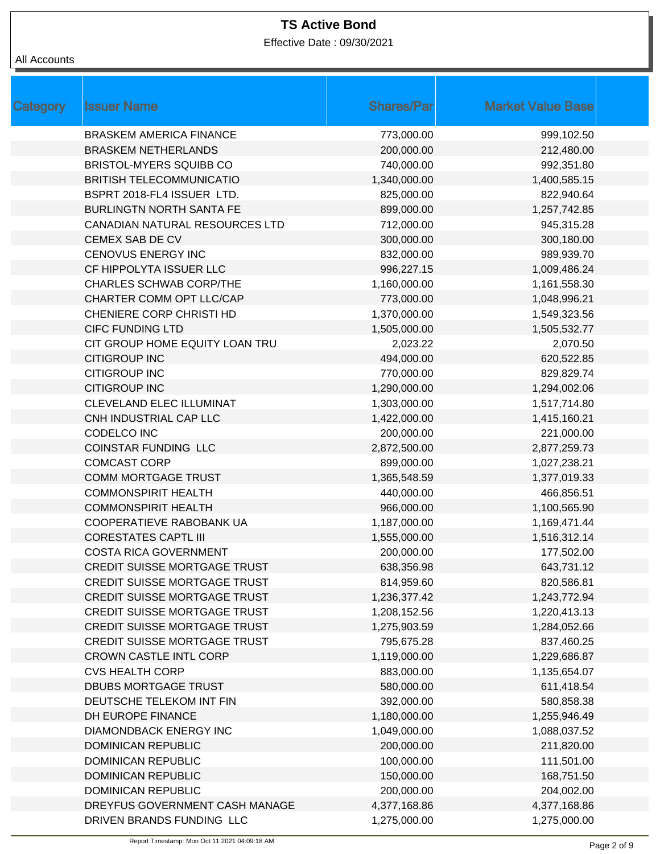Effective Date : 09/30/2021

| Category | <b>Issuer Name</b>                  | <b>Shares/Par</b> | <b>Market Value Base</b> |
|----------|-------------------------------------|-------------------|--------------------------|
|          | <b>BRASKEM AMERICA FINANCE</b>      | 773,000.00        | 999,102.50               |
|          | <b>BRASKEM NETHERLANDS</b>          | 200,000.00        | 212,480.00               |
|          | BRISTOL-MYERS SQUIBB CO             | 740,000.00        | 992,351.80               |
|          | <b>BRITISH TELECOMMUNICATIO</b>     | 1,340,000.00      | 1,400,585.15             |
|          | BSPRT 2018-FL4 ISSUER LTD.          | 825,000.00        | 822,940.64               |
|          | <b>BURLINGTN NORTH SANTA FE</b>     | 899,000.00        | 1,257,742.85             |
|          | CANADIAN NATURAL RESOURCES LTD      | 712,000.00        | 945,315.28               |
|          | CEMEX SAB DE CV                     | 300,000.00        | 300,180.00               |
|          | <b>CENOVUS ENERGY INC</b>           | 832,000.00        | 989,939.70               |
|          | CF HIPPOLYTA ISSUER LLC             | 996,227.15        | 1,009,486.24             |
|          | <b>CHARLES SCHWAB CORP/THE</b>      | 1,160,000.00      | 1,161,558.30             |
|          | CHARTER COMM OPT LLC/CAP            | 773,000.00        | 1,048,996.21             |
|          | CHENIERE CORP CHRISTI HD            | 1,370,000.00      | 1,549,323.56             |
|          | <b>CIFC FUNDING LTD</b>             | 1,505,000.00      | 1,505,532.77             |
|          | CIT GROUP HOME EQUITY LOAN TRU      | 2,023.22          | 2,070.50                 |
|          | <b>CITIGROUP INC</b>                | 494,000.00        | 620,522.85               |
|          | <b>CITIGROUP INC</b>                | 770,000.00        | 829,829.74               |
|          | <b>CITIGROUP INC</b>                | 1,290,000.00      | 1,294,002.06             |
|          | CLEVELAND ELEC ILLUMINAT            | 1,303,000.00      | 1,517,714.80             |
|          | CNH INDUSTRIAL CAP LLC              | 1,422,000.00      | 1,415,160.21             |
|          | CODELCO INC                         | 200,000.00        | 221,000.00               |
|          | <b>COINSTAR FUNDING LLC</b>         | 2,872,500.00      | 2,877,259.73             |
|          | <b>COMCAST CORP</b>                 | 899,000.00        | 1,027,238.21             |
|          | <b>COMM MORTGAGE TRUST</b>          | 1,365,548.59      | 1,377,019.33             |
|          | <b>COMMONSPIRIT HEALTH</b>          | 440,000.00        | 466,856.51               |
|          | <b>COMMONSPIRIT HEALTH</b>          | 966,000.00        | 1,100,565.90             |
|          | COOPERATIEVE RABOBANK UA            | 1,187,000.00      | 1,169,471.44             |
|          | <b>CORESTATES CAPTL III</b>         | 1,555,000.00      | 1,516,312.14             |
|          | <b>COSTA RICA GOVERNMENT</b>        | 200,000.00        | 177,502.00               |
|          | CREDIT SUISSE MORTGAGE TRUST        | 638,356.98        | 643,731.12               |
|          | <b>CREDIT SUISSE MORTGAGE TRUST</b> | 814,959.60        | 820,586.81               |
|          | <b>CREDIT SUISSE MORTGAGE TRUST</b> | 1,236,377.42      | 1,243,772.94             |
|          | <b>CREDIT SUISSE MORTGAGE TRUST</b> | 1,208,152.56      | 1,220,413.13             |
|          | <b>CREDIT SUISSE MORTGAGE TRUST</b> | 1,275,903.59      | 1,284,052.66             |
|          | <b>CREDIT SUISSE MORTGAGE TRUST</b> | 795,675.28        | 837,460.25               |
|          | <b>CROWN CASTLE INTL CORP</b>       | 1,119,000.00      | 1,229,686.87             |
|          | <b>CVS HEALTH CORP</b>              | 883,000.00        | 1,135,654.07             |
|          | <b>DBUBS MORTGAGE TRUST</b>         | 580,000.00        | 611,418.54               |
|          | DEUTSCHE TELEKOM INT FIN            | 392,000.00        | 580,858.38               |
|          | DH EUROPE FINANCE                   | 1,180,000.00      | 1,255,946.49             |
|          | DIAMONDBACK ENERGY INC              | 1,049,000.00      | 1,088,037.52             |
|          | DOMINICAN REPUBLIC                  | 200,000.00        | 211,820.00               |
|          | DOMINICAN REPUBLIC                  | 100,000.00        | 111,501.00               |
|          | <b>DOMINICAN REPUBLIC</b>           | 150,000.00        | 168,751.50               |
|          | <b>DOMINICAN REPUBLIC</b>           | 200,000.00        | 204,002.00               |
|          | DREYFUS GOVERNMENT CASH MANAGE      | 4,377,168.86      | 4,377,168.86             |
|          | DRIVEN BRANDS FUNDING LLC           | 1,275,000.00      | 1,275,000.00             |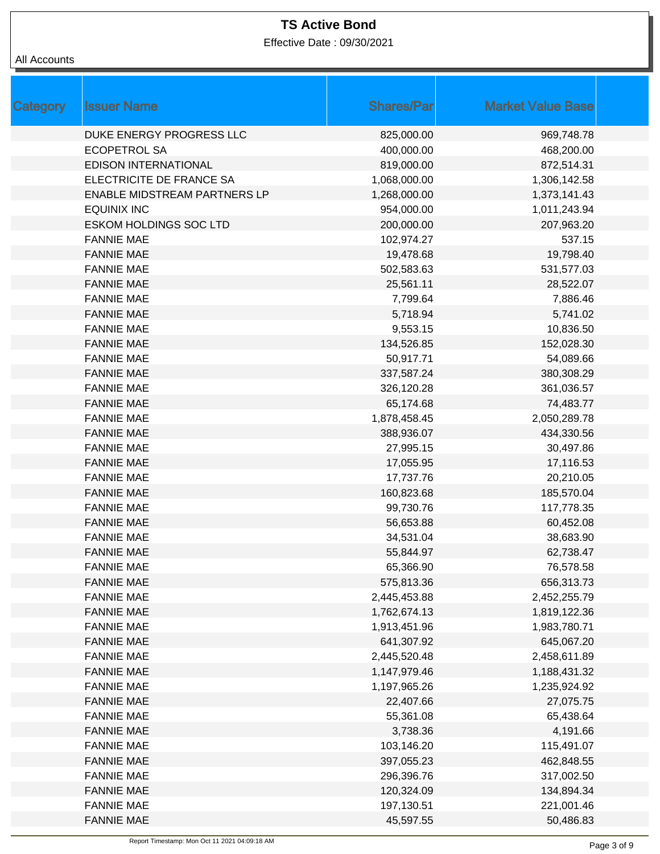Effective Date : 09/30/2021

| Category | <b>Issuer Name</b>                  | <b>Shares/Par</b> | <b>Market Value Base</b> |
|----------|-------------------------------------|-------------------|--------------------------|
|          | DUKE ENERGY PROGRESS LLC            | 825,000.00        | 969,748.78               |
|          | <b>ECOPETROL SA</b>                 | 400,000.00        | 468,200.00               |
|          | <b>EDISON INTERNATIONAL</b>         | 819,000.00        | 872,514.31               |
|          | ELECTRICITE DE FRANCE SA            | 1,068,000.00      | 1,306,142.58             |
|          | <b>ENABLE MIDSTREAM PARTNERS LP</b> | 1,268,000.00      | 1,373,141.43             |
|          | <b>EQUINIX INC</b>                  | 954,000.00        | 1,011,243.94             |
|          | <b>ESKOM HOLDINGS SOC LTD</b>       | 200,000.00        | 207,963.20               |
|          | <b>FANNIE MAE</b>                   | 102,974.27        | 537.15                   |
|          | <b>FANNIE MAE</b>                   | 19,478.68         | 19,798.40                |
|          | <b>FANNIE MAE</b>                   | 502,583.63        | 531,577.03               |
|          | <b>FANNIE MAE</b>                   | 25,561.11         | 28,522.07                |
|          | <b>FANNIE MAE</b>                   | 7,799.64          | 7,886.46                 |
|          | <b>FANNIE MAE</b>                   | 5,718.94          | 5,741.02                 |
|          | <b>FANNIE MAE</b>                   | 9,553.15          | 10,836.50                |
|          | <b>FANNIE MAE</b>                   | 134,526.85        | 152,028.30               |
|          | <b>FANNIE MAE</b>                   | 50,917.71         | 54,089.66                |
|          | <b>FANNIE MAE</b>                   | 337,587.24        | 380,308.29               |
|          | <b>FANNIE MAE</b>                   | 326,120.28        | 361,036.57               |
|          | <b>FANNIE MAE</b>                   | 65,174.68         | 74,483.77                |
|          | <b>FANNIE MAE</b>                   | 1,878,458.45      | 2,050,289.78             |
|          | <b>FANNIE MAE</b>                   | 388,936.07        | 434,330.56               |
|          | <b>FANNIE MAE</b>                   | 27,995.15         | 30,497.86                |
|          | <b>FANNIE MAE</b>                   | 17,055.95         | 17,116.53                |
|          | <b>FANNIE MAE</b>                   | 17,737.76         | 20,210.05                |
|          | <b>FANNIE MAE</b>                   | 160,823.68        | 185,570.04               |
|          | <b>FANNIE MAE</b>                   | 99,730.76         | 117,778.35               |
|          | <b>FANNIE MAE</b>                   | 56,653.88         | 60,452.08                |
|          | <b>FANNIE MAE</b>                   | 34,531.04         | 38,683.90                |
|          | <b>FANNIE MAE</b>                   | 55,844.97         | 62,738.47                |
|          | <b>FANNIE MAE</b>                   | 65,366.90         | 76,578.58                |
|          | <b>FANNIE MAE</b>                   | 575,813.36        | 656,313.73               |
|          | <b>FANNIE MAE</b>                   | 2,445,453.88      | 2,452,255.79             |
|          | <b>FANNIE MAE</b>                   | 1,762,674.13      | 1,819,122.36             |
|          | <b>FANNIE MAE</b>                   | 1,913,451.96      | 1,983,780.71             |
|          | <b>FANNIE MAE</b>                   | 641,307.92        | 645,067.20               |
|          | <b>FANNIE MAE</b>                   | 2,445,520.48      | 2,458,611.89             |
|          | <b>FANNIE MAE</b>                   | 1,147,979.46      | 1,188,431.32             |
|          | <b>FANNIE MAE</b>                   | 1,197,965.26      | 1,235,924.92             |
|          | <b>FANNIE MAE</b>                   | 22,407.66         | 27,075.75                |
|          | <b>FANNIE MAE</b>                   | 55,361.08         | 65,438.64                |
|          | <b>FANNIE MAE</b>                   | 3,738.36          | 4,191.66                 |
|          | <b>FANNIE MAE</b>                   | 103,146.20        | 115,491.07               |
|          | <b>FANNIE MAE</b>                   | 397,055.23        | 462,848.55               |
|          | <b>FANNIE MAE</b>                   | 296,396.76        | 317,002.50               |
|          | <b>FANNIE MAE</b>                   | 120,324.09        | 134,894.34               |
|          | <b>FANNIE MAE</b>                   | 197,130.51        | 221,001.46               |
|          | <b>FANNIE MAE</b>                   | 45,597.55         | 50,486.83                |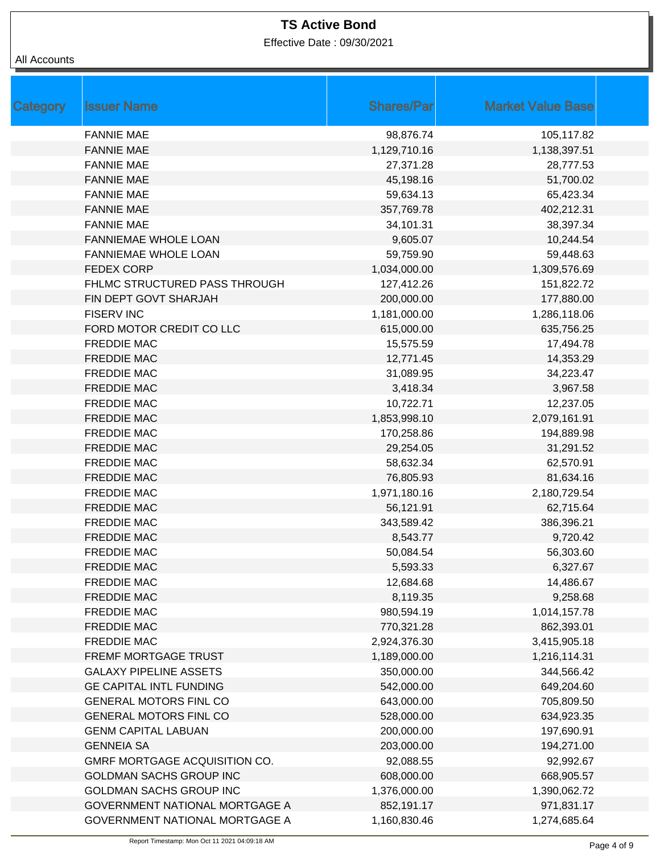Effective Date : 09/30/2021

| <b>Category</b> | <b>Issuer Name</b>             | <b>Shares/Par</b> | <b>Market Value Base</b> |
|-----------------|--------------------------------|-------------------|--------------------------|
|                 | <b>FANNIE MAE</b>              | 98,876.74         | 105,117.82               |
|                 | <b>FANNIE MAE</b>              | 1,129,710.16      | 1,138,397.51             |
|                 | <b>FANNIE MAE</b>              | 27,371.28         | 28,777.53                |
|                 | <b>FANNIE MAE</b>              | 45,198.16         | 51,700.02                |
|                 | <b>FANNIE MAE</b>              | 59,634.13         | 65,423.34                |
|                 | <b>FANNIE MAE</b>              | 357,769.78        | 402,212.31               |
|                 | <b>FANNIE MAE</b>              | 34,101.31         | 38,397.34                |
|                 | <b>FANNIEMAE WHOLE LOAN</b>    | 9,605.07          | 10,244.54                |
|                 | FANNIEMAE WHOLE LOAN           | 59,759.90         | 59,448.63                |
|                 | <b>FEDEX CORP</b>              | 1,034,000.00      | 1,309,576.69             |
|                 | FHLMC STRUCTURED PASS THROUGH  | 127,412.26        | 151,822.72               |
|                 | FIN DEPT GOVT SHARJAH          | 200,000.00        | 177,880.00               |
|                 | <b>FISERV INC</b>              | 1,181,000.00      | 1,286,118.06             |
|                 | FORD MOTOR CREDIT CO LLC       | 615,000.00        | 635,756.25               |
|                 | <b>FREDDIE MAC</b>             | 15,575.59         | 17,494.78                |
|                 | <b>FREDDIE MAC</b>             | 12,771.45         | 14,353.29                |
|                 | <b>FREDDIE MAC</b>             | 31,089.95         | 34,223.47                |
|                 | <b>FREDDIE MAC</b>             | 3,418.34          | 3,967.58                 |
|                 | <b>FREDDIE MAC</b>             | 10,722.71         | 12,237.05                |
|                 | <b>FREDDIE MAC</b>             | 1,853,998.10      | 2,079,161.91             |
|                 | <b>FREDDIE MAC</b>             | 170,258.86        | 194,889.98               |
|                 | <b>FREDDIE MAC</b>             | 29,254.05         | 31,291.52                |
|                 | <b>FREDDIE MAC</b>             | 58,632.34         | 62,570.91                |
|                 | <b>FREDDIE MAC</b>             | 76,805.93         | 81,634.16                |
|                 | <b>FREDDIE MAC</b>             | 1,971,180.16      | 2,180,729.54             |
|                 | <b>FREDDIE MAC</b>             | 56,121.91         | 62,715.64                |
|                 | <b>FREDDIE MAC</b>             | 343,589.42        | 386,396.21               |
|                 | <b>FREDDIE MAC</b>             | 8,543.77          | 9,720.42                 |
|                 | <b>FREDDIE MAC</b>             | 50,084.54         | 56,303.60                |
|                 | <b>FREDDIE MAC</b>             | 5,593.33          | 6,327.67                 |
|                 | <b>FREDDIE MAC</b>             | 12,684.68         | 14,486.67                |
|                 | <b>FREDDIE MAC</b>             | 8,119.35          | 9,258.68                 |
|                 | <b>FREDDIE MAC</b>             | 980,594.19        | 1,014,157.78             |
|                 | <b>FREDDIE MAC</b>             | 770,321.28        | 862,393.01               |
|                 | <b>FREDDIE MAC</b>             | 2,924,376.30      | 3,415,905.18             |
|                 | <b>FREMF MORTGAGE TRUST</b>    | 1,189,000.00      | 1,216,114.31             |
|                 | <b>GALAXY PIPELINE ASSETS</b>  | 350,000.00        | 344,566.42               |
|                 | <b>GE CAPITAL INTL FUNDING</b> | 542,000.00        | 649,204.60               |
|                 | <b>GENERAL MOTORS FINL CO</b>  | 643,000.00        | 705,809.50               |
|                 | <b>GENERAL MOTORS FINL CO</b>  | 528,000.00        | 634,923.35               |
|                 | <b>GENM CAPITAL LABUAN</b>     | 200,000.00        | 197,690.91               |
|                 | <b>GENNEIA SA</b>              | 203,000.00        | 194,271.00               |
|                 | GMRF MORTGAGE ACQUISITION CO.  | 92,088.55         | 92,992.67                |
|                 | <b>GOLDMAN SACHS GROUP INC</b> | 608,000.00        | 668,905.57               |
|                 | <b>GOLDMAN SACHS GROUP INC</b> | 1,376,000.00      | 1,390,062.72             |
|                 | GOVERNMENT NATIONAL MORTGAGE A | 852,191.17        | 971,831.17               |
|                 | GOVERNMENT NATIONAL MORTGAGE A | 1,160,830.46      | 1,274,685.64             |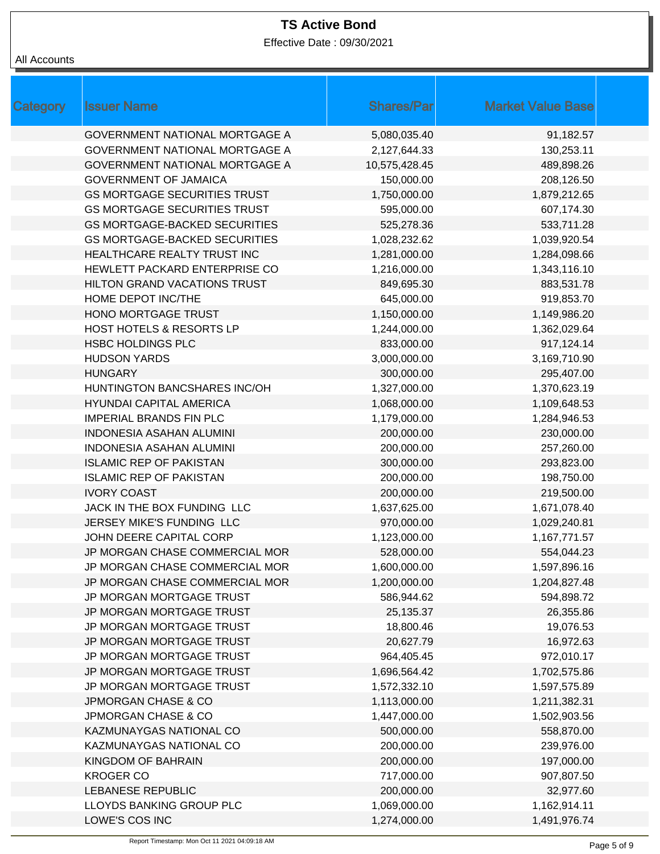Effective Date : 09/30/2021

| Category | <b>Issuer Name</b>                    | <b>Shares/Par</b> | <b>Market Value Base</b> |
|----------|---------------------------------------|-------------------|--------------------------|
|          | <b>GOVERNMENT NATIONAL MORTGAGE A</b> | 5,080,035.40      | 91,182.57                |
|          | <b>GOVERNMENT NATIONAL MORTGAGE A</b> | 2,127,644.33      | 130,253.11               |
|          | <b>GOVERNMENT NATIONAL MORTGAGE A</b> | 10,575,428.45     | 489,898.26               |
|          | <b>GOVERNMENT OF JAMAICA</b>          | 150,000.00        | 208,126.50               |
|          | <b>GS MORTGAGE SECURITIES TRUST</b>   | 1,750,000.00      | 1,879,212.65             |
|          | <b>GS MORTGAGE SECURITIES TRUST</b>   | 595,000.00        | 607,174.30               |
|          | <b>GS MORTGAGE-BACKED SECURITIES</b>  | 525,278.36        | 533,711.28               |
|          | <b>GS MORTGAGE-BACKED SECURITIES</b>  | 1,028,232.62      | 1,039,920.54             |
|          | HEALTHCARE REALTY TRUST INC           | 1,281,000.00      | 1,284,098.66             |
|          | HEWLETT PACKARD ENTERPRISE CO         | 1,216,000.00      | 1,343,116.10             |
|          | HILTON GRAND VACATIONS TRUST          | 849,695.30        | 883,531.78               |
|          | HOME DEPOT INC/THE                    | 645,000.00        | 919,853.70               |
|          | <b>HONO MORTGAGE TRUST</b>            | 1,150,000.00      | 1,149,986.20             |
|          | <b>HOST HOTELS &amp; RESORTS LP</b>   | 1,244,000.00      | 1,362,029.64             |
|          | <b>HSBC HOLDINGS PLC</b>              | 833,000.00        | 917,124.14               |
|          | <b>HUDSON YARDS</b>                   | 3,000,000.00      | 3,169,710.90             |
|          | <b>HUNGARY</b>                        | 300,000.00        | 295,407.00               |
|          | <b>HUNTINGTON BANCSHARES INC/OH</b>   | 1,327,000.00      | 1,370,623.19             |
|          | <b>HYUNDAI CAPITAL AMERICA</b>        | 1,068,000.00      | 1,109,648.53             |
|          | <b>IMPERIAL BRANDS FIN PLC</b>        | 1,179,000.00      | 1,284,946.53             |
|          | <b>INDONESIA ASAHAN ALUMINI</b>       | 200,000.00        | 230,000.00               |
|          | <b>INDONESIA ASAHAN ALUMINI</b>       | 200,000.00        | 257,260.00               |
|          | <b>ISLAMIC REP OF PAKISTAN</b>        | 300,000.00        | 293,823.00               |
|          | <b>ISLAMIC REP OF PAKISTAN</b>        | 200,000.00        | 198,750.00               |
|          | <b>IVORY COAST</b>                    | 200,000.00        | 219,500.00               |
|          | JACK IN THE BOX FUNDING LLC           | 1,637,625.00      | 1,671,078.40             |
|          | JERSEY MIKE'S FUNDING LLC             | 970,000.00        | 1,029,240.81             |
|          | JOHN DEERE CAPITAL CORP               | 1,123,000.00      | 1,167,771.57             |
|          | JP MORGAN CHASE COMMERCIAL MOR        | 528,000.00        | 554,044.23               |
|          | JP MORGAN CHASE COMMERCIAL MOR        | 1,600,000.00      | 1,597,896.16             |
|          | JP MORGAN CHASE COMMERCIAL MOR        | 1,200,000.00      | 1,204,827.48             |
|          | JP MORGAN MORTGAGE TRUST              | 586,944.62        | 594,898.72               |
|          | JP MORGAN MORTGAGE TRUST              | 25,135.37         | 26,355.86                |
|          | JP MORGAN MORTGAGE TRUST              | 18,800.46         | 19,076.53                |
|          | JP MORGAN MORTGAGE TRUST              | 20,627.79         | 16,972.63                |
|          | JP MORGAN MORTGAGE TRUST              | 964,405.45        | 972,010.17               |
|          | JP MORGAN MORTGAGE TRUST              | 1,696,564.42      | 1,702,575.86             |
|          | JP MORGAN MORTGAGE TRUST              | 1,572,332.10      | 1,597,575.89             |
|          | <b>JPMORGAN CHASE &amp; CO</b>        | 1,113,000.00      | 1,211,382.31             |
|          | JPMORGAN CHASE & CO                   | 1,447,000.00      | 1,502,903.56             |
|          | KAZMUNAYGAS NATIONAL CO               | 500,000.00        | 558,870.00               |
|          | KAZMUNAYGAS NATIONAL CO               | 200,000.00        | 239,976.00               |
|          | KINGDOM OF BAHRAIN                    | 200,000.00        | 197,000.00               |
|          | <b>KROGER CO</b>                      | 717,000.00        | 907,807.50               |
|          | <b>LEBANESE REPUBLIC</b>              | 200,000.00        | 32,977.60                |
|          | LLOYDS BANKING GROUP PLC              | 1,069,000.00      | 1,162,914.11             |
|          | LOWE'S COS INC                        | 1,274,000.00      | 1,491,976.74             |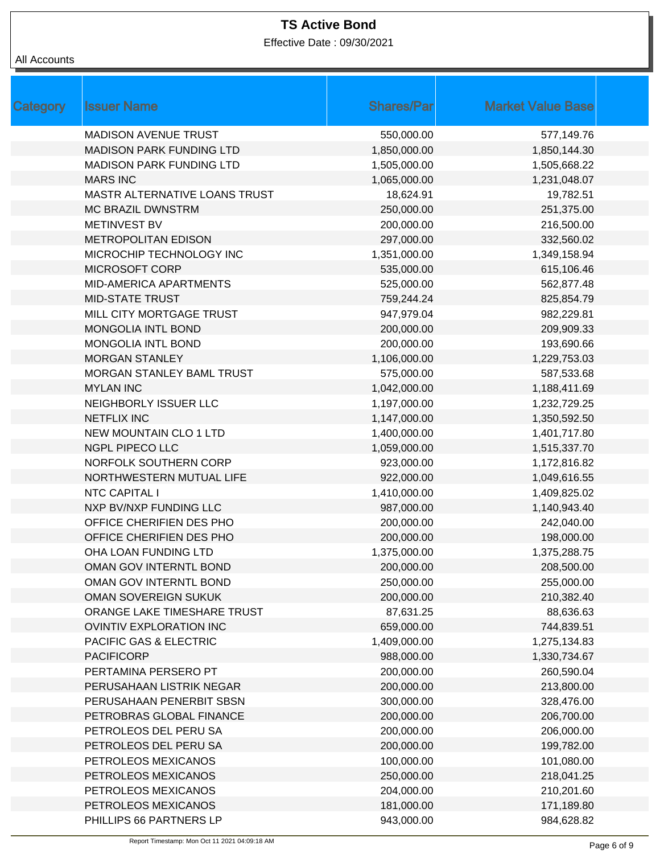Effective Date : 09/30/2021

| Category | <b>Issuer Name</b>              | <b>Shares/Par</b> | <b>Market Value Base</b> |
|----------|---------------------------------|-------------------|--------------------------|
|          | <b>MADISON AVENUE TRUST</b>     | 550,000.00        | 577,149.76               |
|          | <b>MADISON PARK FUNDING LTD</b> | 1,850,000.00      | 1,850,144.30             |
|          | <b>MADISON PARK FUNDING LTD</b> | 1,505,000.00      | 1,505,668.22             |
|          | <b>MARS INC</b>                 | 1,065,000.00      | 1,231,048.07             |
|          | MASTR ALTERNATIVE LOANS TRUST   | 18,624.91         | 19,782.51                |
|          | <b>MC BRAZIL DWNSTRM</b>        | 250,000.00        | 251,375.00               |
|          | <b>METINVEST BV</b>             | 200,000.00        | 216,500.00               |
|          | <b>METROPOLITAN EDISON</b>      | 297,000.00        | 332,560.02               |
|          | MICROCHIP TECHNOLOGY INC        | 1,351,000.00      | 1,349,158.94             |
|          | <b>MICROSOFT CORP</b>           | 535,000.00        | 615,106.46               |
|          | MID-AMERICA APARTMENTS          | 525,000.00        | 562,877.48               |
|          | <b>MID-STATE TRUST</b>          | 759,244.24        | 825,854.79               |
|          | MILL CITY MORTGAGE TRUST        | 947,979.04        | 982,229.81               |
|          | MONGOLIA INTL BOND              | 200,000.00        | 209,909.33               |
|          | MONGOLIA INTL BOND              | 200,000.00        | 193,690.66               |
|          | <b>MORGAN STANLEY</b>           | 1,106,000.00      | 1,229,753.03             |
|          | MORGAN STANLEY BAML TRUST       | 575,000.00        | 587,533.68               |
|          | <b>MYLAN INC</b>                | 1,042,000.00      | 1,188,411.69             |
|          | NEIGHBORLY ISSUER LLC           | 1,197,000.00      | 1,232,729.25             |
|          | <b>NETFLIX INC</b>              | 1,147,000.00      | 1,350,592.50             |
|          | <b>NEW MOUNTAIN CLO 1 LTD</b>   | 1,400,000.00      | 1,401,717.80             |
|          | <b>NGPL PIPECO LLC</b>          | 1,059,000.00      | 1,515,337.70             |
|          | NORFOLK SOUTHERN CORP           | 923,000.00        | 1,172,816.82             |
|          | NORTHWESTERN MUTUAL LIFE        | 922,000.00        | 1,049,616.55             |
|          | NTC CAPITAL I                   | 1,410,000.00      | 1,409,825.02             |
|          | NXP BV/NXP FUNDING LLC          | 987,000.00        | 1,140,943.40             |
|          | OFFICE CHERIFIEN DES PHO        | 200,000.00        | 242,040.00               |
|          | OFFICE CHERIFIEN DES PHO        | 200,000.00        | 198,000.00               |
|          | OHA LOAN FUNDING LTD            | 1,375,000.00      | 1,375,288.75             |
|          | OMAN GOV INTERNTL BOND          | 200,000.00        | 208,500.00               |
|          | OMAN GOV INTERNTL BOND          | 250,000.00        | 255,000.00               |
|          | OMAN SOVEREIGN SUKUK            | 200,000.00        | 210,382.40               |
|          | ORANGE LAKE TIMESHARE TRUST     | 87,631.25         | 88,636.63                |
|          | <b>OVINTIV EXPLORATION INC</b>  | 659,000.00        | 744,839.51               |
|          | PACIFIC GAS & ELECTRIC          | 1,409,000.00      | 1,275,134.83             |
|          | <b>PACIFICORP</b>               | 988,000.00        | 1,330,734.67             |
|          | PERTAMINA PERSERO PT            | 200,000.00        | 260,590.04               |
|          | PERUSAHAAN LISTRIK NEGAR        | 200,000.00        | 213,800.00               |
|          | PERUSAHAAN PENERBIT SBSN        | 300,000.00        | 328,476.00               |
|          | PETROBRAS GLOBAL FINANCE        | 200,000.00        | 206,700.00               |
|          | PETROLEOS DEL PERU SA           | 200,000.00        | 206,000.00               |
|          | PETROLEOS DEL PERU SA           | 200,000.00        | 199,782.00               |
|          | PETROLEOS MEXICANOS             | 100,000.00        | 101,080.00               |
|          | PETROLEOS MEXICANOS             | 250,000.00        | 218,041.25               |
|          | PETROLEOS MEXICANOS             | 204,000.00        | 210,201.60               |
|          | PETROLEOS MEXICANOS             | 181,000.00        | 171,189.80               |
|          | PHILLIPS 66 PARTNERS LP         | 943,000.00        | 984,628.82               |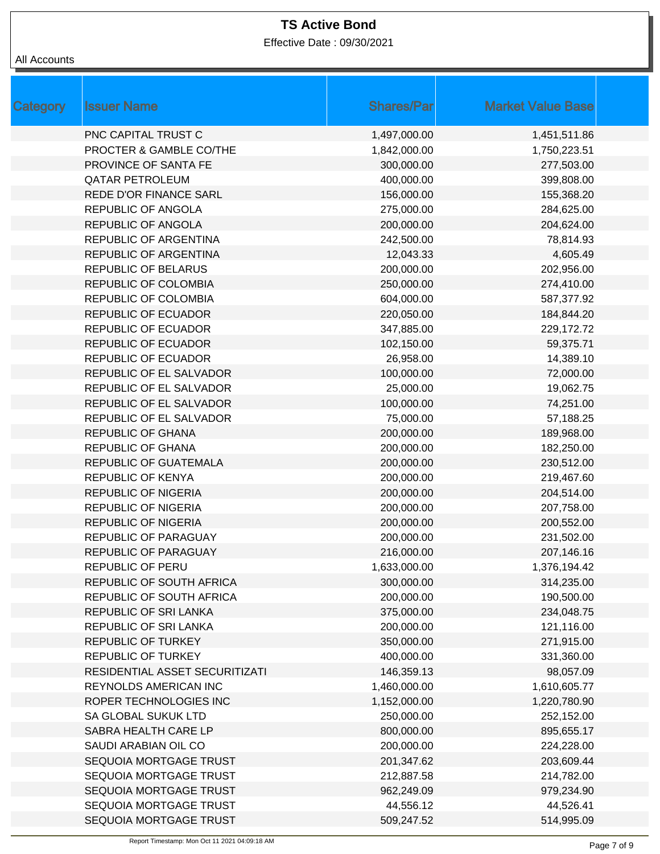Effective Date : 09/30/2021

| Category | <b>Issuer Name</b>             | <b>Shares/Par</b> | <b>Market Value Base</b> |
|----------|--------------------------------|-------------------|--------------------------|
|          | PNC CAPITAL TRUST C            | 1,497,000.00      | 1,451,511.86             |
|          | PROCTER & GAMBLE CO/THE        | 1,842,000.00      | 1,750,223.51             |
|          | PROVINCE OF SANTA FE           | 300,000.00        | 277,503.00               |
|          | <b>QATAR PETROLEUM</b>         | 400,000.00        | 399,808.00               |
|          | REDE D'OR FINANCE SARL         | 156,000.00        | 155,368.20               |
|          | REPUBLIC OF ANGOLA             | 275,000.00        | 284,625.00               |
|          | REPUBLIC OF ANGOLA             | 200,000.00        | 204,624.00               |
|          | REPUBLIC OF ARGENTINA          | 242,500.00        | 78,814.93                |
|          | REPUBLIC OF ARGENTINA          | 12,043.33         | 4,605.49                 |
|          | REPUBLIC OF BELARUS            | 200,000.00        | 202,956.00               |
|          | REPUBLIC OF COLOMBIA           | 250,000.00        | 274,410.00               |
|          | REPUBLIC OF COLOMBIA           | 604,000.00        | 587,377.92               |
|          | <b>REPUBLIC OF ECUADOR</b>     | 220,050.00        | 184,844.20               |
|          | <b>REPUBLIC OF ECUADOR</b>     | 347,885.00        | 229,172.72               |
|          | <b>REPUBLIC OF ECUADOR</b>     | 102,150.00        | 59,375.71                |
|          | <b>REPUBLIC OF ECUADOR</b>     | 26,958.00         | 14,389.10                |
|          | REPUBLIC OF EL SALVADOR        | 100,000.00        | 72,000.00                |
|          | REPUBLIC OF EL SALVADOR        | 25,000.00         | 19,062.75                |
|          | REPUBLIC OF EL SALVADOR        | 100,000.00        | 74,251.00                |
|          | REPUBLIC OF EL SALVADOR        | 75,000.00         | 57,188.25                |
|          | <b>REPUBLIC OF GHANA</b>       | 200,000.00        | 189,968.00               |
|          | <b>REPUBLIC OF GHANA</b>       | 200,000.00        | 182,250.00               |
|          | REPUBLIC OF GUATEMALA          | 200,000.00        | 230,512.00               |
|          | REPUBLIC OF KENYA              | 200,000.00        | 219,467.60               |
|          | <b>REPUBLIC OF NIGERIA</b>     | 200,000.00        | 204,514.00               |
|          | <b>REPUBLIC OF NIGERIA</b>     | 200,000.00        | 207,758.00               |
|          | <b>REPUBLIC OF NIGERIA</b>     | 200,000.00        | 200,552.00               |
|          | REPUBLIC OF PARAGUAY           | 200,000.00        | 231,502.00               |
|          | REPUBLIC OF PARAGUAY           | 216,000.00        | 207,146.16               |
|          | <b>REPUBLIC OF PERU</b>        | 1,633,000.00      | 1,376,194.42             |
|          | REPUBLIC OF SOUTH AFRICA       | 300,000.00        | 314,235.00               |
|          | REPUBLIC OF SOUTH AFRICA       | 200,000.00        | 190,500.00               |
|          | REPUBLIC OF SRI LANKA          | 375,000.00        | 234,048.75               |
|          | REPUBLIC OF SRI LANKA          | 200,000.00        | 121,116.00               |
|          | REPUBLIC OF TURKEY             | 350,000.00        | 271,915.00               |
|          | REPUBLIC OF TURKEY             | 400,000.00        | 331,360.00               |
|          | RESIDENTIAL ASSET SECURITIZATI | 146,359.13        | 98,057.09                |
|          | REYNOLDS AMERICAN INC          | 1,460,000.00      | 1,610,605.77             |
|          | ROPER TECHNOLOGIES INC         | 1,152,000.00      | 1,220,780.90             |
|          | SA GLOBAL SUKUK LTD            | 250,000.00        | 252,152.00               |
|          | SABRA HEALTH CARE LP           | 800,000.00        | 895,655.17               |
|          | SAUDI ARABIAN OIL CO           | 200,000.00        | 224,228.00               |
|          | SEQUOIA MORTGAGE TRUST         | 201,347.62        | 203,609.44               |
|          | SEQUOIA MORTGAGE TRUST         | 212,887.58        | 214,782.00               |
|          | SEQUOIA MORTGAGE TRUST         | 962,249.09        | 979,234.90               |
|          | SEQUOIA MORTGAGE TRUST         | 44,556.12         | 44,526.41                |
|          | SEQUOIA MORTGAGE TRUST         | 509,247.52        | 514,995.09               |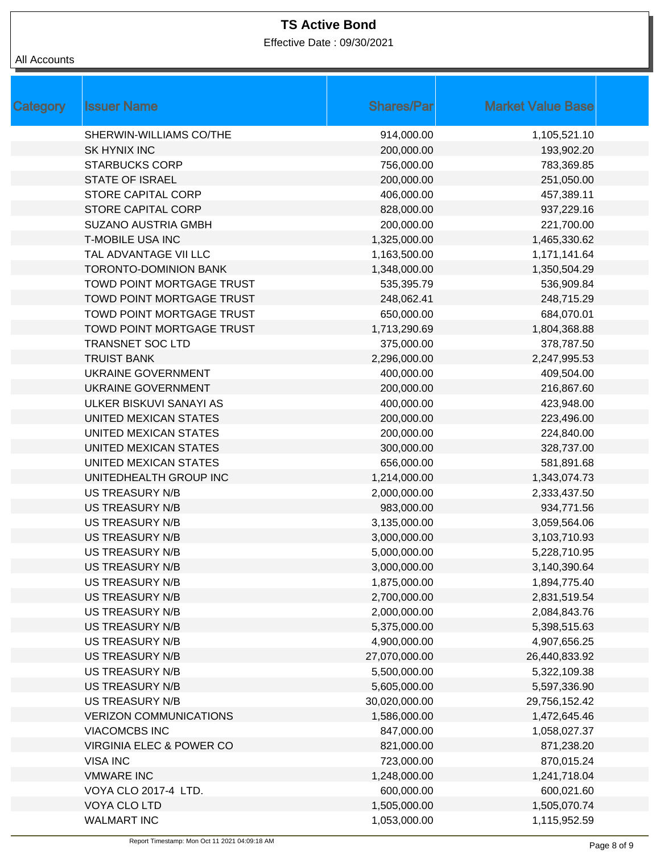Effective Date : 09/30/2021

| Category | <b>Issuer Name</b>                  | <b>Shares/Par</b> | <b>Market Value Base</b> |
|----------|-------------------------------------|-------------------|--------------------------|
|          | SHERWIN-WILLIAMS CO/THE             | 914,000.00        | 1,105,521.10             |
|          | <b>SK HYNIX INC</b>                 | 200,000.00        | 193,902.20               |
|          | <b>STARBUCKS CORP</b>               | 756,000.00        | 783,369.85               |
|          | <b>STATE OF ISRAEL</b>              | 200,000.00        | 251,050.00               |
|          | STORE CAPITAL CORP                  | 406,000.00        | 457,389.11               |
|          | <b>STORE CAPITAL CORP</b>           | 828,000.00        | 937,229.16               |
|          | <b>SUZANO AUSTRIA GMBH</b>          | 200,000.00        | 221,700.00               |
|          | <b>T-MOBILE USA INC</b>             | 1,325,000.00      | 1,465,330.62             |
|          | TAL ADVANTAGE VII LLC               | 1,163,500.00      | 1,171,141.64             |
|          | <b>TORONTO-DOMINION BANK</b>        | 1,348,000.00      | 1,350,504.29             |
|          | TOWD POINT MORTGAGE TRUST           | 535,395.79        | 536,909.84               |
|          | TOWD POINT MORTGAGE TRUST           | 248,062.41        | 248,715.29               |
|          | TOWD POINT MORTGAGE TRUST           | 650,000.00        | 684,070.01               |
|          | <b>TOWD POINT MORTGAGE TRUST</b>    | 1,713,290.69      | 1,804,368.88             |
|          | <b>TRANSNET SOC LTD</b>             | 375,000.00        | 378,787.50               |
|          | <b>TRUIST BANK</b>                  | 2,296,000.00      | 2,247,995.53             |
|          | UKRAINE GOVERNMENT                  | 400,000.00        | 409,504.00               |
|          | <b>UKRAINE GOVERNMENT</b>           | 200,000.00        | 216,867.60               |
|          | ULKER BISKUVI SANAYI AS             | 400,000.00        | 423,948.00               |
|          | UNITED MEXICAN STATES               | 200,000.00        | 223,496.00               |
|          | UNITED MEXICAN STATES               | 200,000.00        | 224,840.00               |
|          | UNITED MEXICAN STATES               | 300,000.00        | 328,737.00               |
|          | UNITED MEXICAN STATES               | 656,000.00        | 581,891.68               |
|          | UNITEDHEALTH GROUP INC              | 1,214,000.00      | 1,343,074.73             |
|          | <b>US TREASURY N/B</b>              | 2,000,000.00      | 2,333,437.50             |
|          | <b>US TREASURY N/B</b>              | 983,000.00        | 934,771.56               |
|          | <b>US TREASURY N/B</b>              | 3,135,000.00      | 3,059,564.06             |
|          | <b>US TREASURY N/B</b>              | 3,000,000.00      | 3,103,710.93             |
|          | <b>US TREASURY N/B</b>              | 5,000,000.00      | 5,228,710.95             |
|          | <b>US TREASURY N/B</b>              | 3,000,000.00      | 3,140,390.64             |
|          | US TREASURY N/B                     | 1,875,000.00      | 1,894,775.40             |
|          | <b>US TREASURY N/B</b>              | 2,700,000.00      | 2,831,519.54             |
|          | <b>US TREASURY N/B</b>              | 2,000,000.00      | 2,084,843.76             |
|          | <b>US TREASURY N/B</b>              | 5,375,000.00      | 5,398,515.63             |
|          | <b>US TREASURY N/B</b>              | 4,900,000.00      | 4,907,656.25             |
|          | <b>US TREASURY N/B</b>              | 27,070,000.00     | 26,440,833.92            |
|          | <b>US TREASURY N/B</b>              | 5,500,000.00      | 5,322,109.38             |
|          | <b>US TREASURY N/B</b>              | 5,605,000.00      | 5,597,336.90             |
|          | <b>US TREASURY N/B</b>              | 30,020,000.00     | 29,756,152.42            |
|          | <b>VERIZON COMMUNICATIONS</b>       | 1,586,000.00      | 1,472,645.46             |
|          | <b>VIACOMCBS INC</b>                | 847,000.00        | 1,058,027.37             |
|          | <b>VIRGINIA ELEC &amp; POWER CO</b> | 821,000.00        | 871,238.20               |
|          | <b>VISA INC</b>                     | 723,000.00        | 870,015.24               |
|          | <b>VMWARE INC</b>                   | 1,248,000.00      | 1,241,718.04             |
|          | VOYA CLO 2017-4 LTD.                | 600,000.00        | 600,021.60               |
|          | VOYA CLO LTD                        | 1,505,000.00      | 1,505,070.74             |
|          | <b>WALMART INC</b>                  | 1,053,000.00      | 1,115,952.59             |